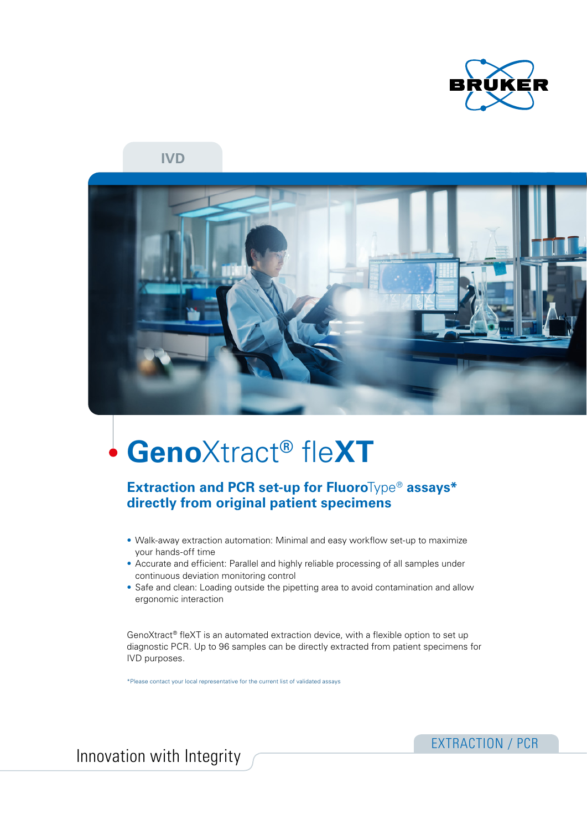

**IVD**



# **Geno**Xtract**®** fle**XT**

## **Extraction and PCR set-up for Fluoro**Type® **assays\* directly from original patient specimens**

- Walk-away extraction automation: Minimal and easy workflow set-up to maximize your hands-off time
- Accurate and efficient: Parallel and highly reliable processing of all samples under continuous deviation monitoring control
- Safe and clean: Loading outside the pipetting area to avoid contamination and allow ergonomic interaction

GenoXtract® fleXT is an automated extraction device, with a flexible option to set up diagnostic PCR. Up to 96 samples can be directly extracted from patient specimens for IVD purposes.

\*Please contact your local representative for the current list of validated assays

Innovation with Integrity **EXTRACTION** / PCR